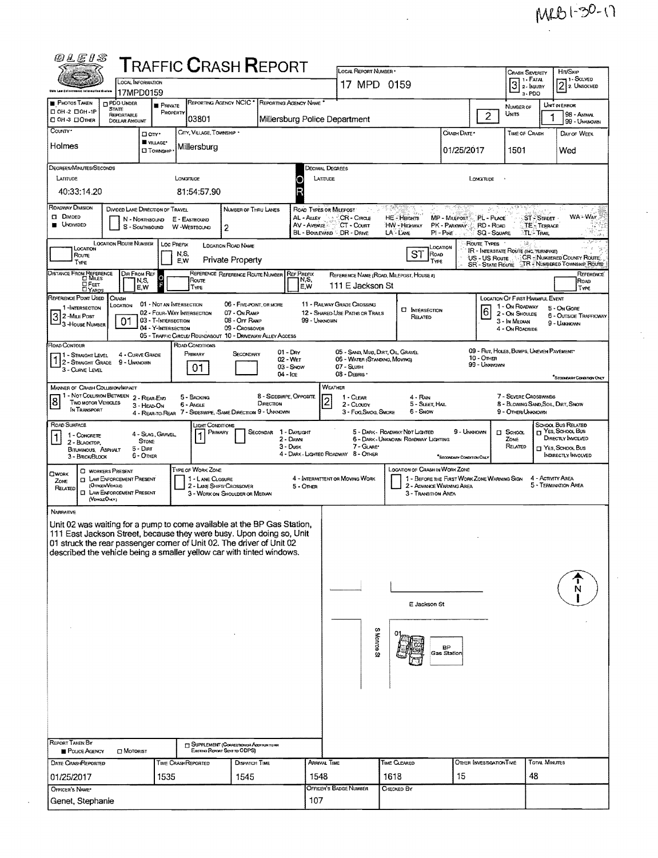## MRB1-30-17

 $\frac{1}{2}$ 

| <i>©LEIS</i>                                                                                                                                  |                                                                                  |                                                        |                    |                                              |                                                             |                         |                       |                                                                |                    |                                                                               |                                         |                                                                            |                                        |                                   |                                                |
|-----------------------------------------------------------------------------------------------------------------------------------------------|----------------------------------------------------------------------------------|--------------------------------------------------------|--------------------|----------------------------------------------|-------------------------------------------------------------|-------------------------|-----------------------|----------------------------------------------------------------|--------------------|-------------------------------------------------------------------------------|-----------------------------------------|----------------------------------------------------------------------------|----------------------------------------|-----------------------------------|------------------------------------------------|
| <b>T</b> RAFFIC <b>C</b> RASH <b>R</b> EPORT<br>LOCAL INFORMATION                                                                             |                                                                                  |                                                        |                    |                                              |                                                             |                         | LOCAL REPORT NUMBER * |                                                                |                    |                                                                               |                                         | Hrt/SxiP<br><b>CRASH SEVERITY</b><br>- 1 - Solved<br>3 <sup>1. FATAI</sup> |                                        |                                   |                                                |
| <b>Ohle Law Enforcement Information Evolum</b>                                                                                                |                                                                                  | 17MPD0159                                              | 17 MPD 0159        |                                              |                                                             |                         |                       |                                                                |                    |                                                                               | $3 - PDO$                               |                                                                            | $2$ 2. Unsolved                        |                                   |                                                |
| <b>PHOTOS TAKEN</b>                                                                                                                           | <b>CIPDO UNDER</b><br><b>STATE</b>                                               | <b>PRIVATE</b>                                         |                    |                                              | REPORTING AGENCY NCIC <sup>*</sup>                          | REPORTING AGENCY NAME   |                       |                                                                |                    |                                                                               |                                         |                                                                            | NUMBER OF                              |                                   | UNIT IN ERROR                                  |
| □ 0H-2 □ 0H-1P<br>□ ОН-3 □ Отнев                                                                                                              | <b>REPORTABLE</b><br>DOLLAR AMOUNT                                               |                                                        | PROPERTY           | 03801                                        |                                                             |                         |                       | Millersburg Police Department                                  |                    |                                                                               |                                         | $\overline{2}$                                                             | Units                                  | 1                                 | 98 - ANIMAL<br>99 - UNKNOWN                    |
| COUNTY <sup>*</sup>                                                                                                                           |                                                                                  | □ cm·                                                  |                    | CITY, VILLAGE, TOWNSHIP *                    |                                                             |                         |                       |                                                                |                    |                                                                               | CRASH DATE *                            |                                                                            | <b>TIME OF CRASH</b>                   |                                   | DAY OF WEEK                                    |
| Holmes                                                                                                                                        |                                                                                  | WILLAGE*<br><b>CJ</b> TOWNSHIP                         |                    | Millersburg                                  |                                                             |                         |                       |                                                                |                    |                                                                               | 01/25/2017                              |                                                                            | 1501                                   |                                   | Wed                                            |
|                                                                                                                                               |                                                                                  |                                                        |                    |                                              |                                                             |                         |                       |                                                                |                    |                                                                               |                                         |                                                                            |                                        |                                   |                                                |
| Degrees/Minutes/Seconds<br>LATTUDE                                                                                                            |                                                                                  |                                                        | <b>LONGITUDE</b>   |                                              |                                                             |                         |                       | DECIMAL DEGREES<br>LATTUDE                                     |                    |                                                                               |                                         |                                                                            |                                        |                                   |                                                |
| 40:33:14.20                                                                                                                                   |                                                                                  |                                                        |                    | 81:54:57.90                                  |                                                             |                         |                       |                                                                |                    |                                                                               |                                         | LongTupe                                                                   |                                        |                                   |                                                |
|                                                                                                                                               |                                                                                  |                                                        |                    |                                              |                                                             |                         |                       |                                                                |                    |                                                                               |                                         |                                                                            |                                        |                                   |                                                |
| ROADWAY DIVISION<br>$\square$ Divided                                                                                                         | DIVIDED LANE DIRECTION OF TRAVEL                                                 | N - NORTHBOUND                                         | E - EASTBOUND      |                                              | NUMBER OF THRU LANES                                        |                         | AL - ALLEY            | ROAD TYPES OR MILEPOST<br>CR - Circle                          | 5.58               | HE - Hearns                                                                   | MP - MILEPOST PL - PLACE                |                                                                            |                                        | ST - STREET                       | it is a<br>WA-Way                              |
| <b>UNDIVIDED</b>                                                                                                                              |                                                                                  | S - Southbound                                         | W -WESTBOUND       |                                              | 2                                                           |                         | AV - Avenue           | CT - COURT<br>BL - BOULEVARD DR - DRIVE                        | LA - LANE          | HW - Highway                                                                  | PK - PARKWAY<br>$PI - P$ <sub>IKE</sub> | RD - Roap<br><b>SQ - SQUARE</b>                                            |                                        | <b>TE - TERRACE</b><br>ेTL- Trail |                                                |
|                                                                                                                                               | <b>LOCATION ROUTE NUMBER</b>                                                     |                                                        | Loc Prefix         |                                              | LOCATION ROAD NAME                                          |                         |                       |                                                                |                    |                                                                               |                                         | ROUTE TYPES                                                                |                                        |                                   |                                                |
| LOCATION<br>Route                                                                                                                             |                                                                                  |                                                        | N,S,<br>E,W        |                                              | Private Property                                            |                         |                       |                                                                |                    | LOCATION<br><b>ST</b><br><b>ROAD</b>                                          |                                         | <b>IR - INTERSTATE ROUTE (INC. TURNPIKE)</b><br>US - US Route              |                                        |                                   | CR - NUMBERED COUNTY ROUTE                     |
| Түре                                                                                                                                          | DIR FROM REF                                                                     |                                                        |                    |                                              | REFERENCE REFERENCE ROUTE NUMBER                            |                         | <b>REF PREFIX</b>     |                                                                |                    | TYPE                                                                          |                                         | <b>SR-STATE ROUTE</b>                                                      |                                        |                                   | <b>TR</b> NUMBERED TOWNSHIP ROUTE<br>REFERENCE |
| DISTANCE FROM REFERENCE<br>OFEET                                                                                                              |                                                                                  | N,S,<br>E.W                                            |                    | Route<br>TYPE                                |                                                             |                         | N,S,<br>E.W           | REFERENCE NAME (ROAD, MILEPOST, HOUSE A)<br>111 E Jackson St   |                    |                                                                               |                                         |                                                                            |                                        |                                   | ROAD<br>TYPE                                   |
| <b>LI YARDS</b><br>REFERENCE POINT USED                                                                                                       | Crash                                                                            |                                                        |                    |                                              |                                                             |                         |                       |                                                                |                    |                                                                               |                                         |                                                                            | <b>LOCATION OF FIRST HARMFUL EVENT</b> |                                   |                                                |
| 1-INTERSECTION                                                                                                                                | Location                                                                         | 01 - NOT AN INTERSECTION<br>02 - FOUR-WAY INTERSECTION |                    |                                              | 06 - FIVE POINT, OR MORE<br>07 - On Raup                    |                         |                       | 11 - RAILWAY GRADE CROSSING<br>12 - SHARED-USE PATHS OR TRAILS |                    | <b>C INTERSECTION</b>                                                         |                                         | 6                                                                          | 1 - On ROADWAY<br>2 - ON SHOULDE       |                                   | 5 - ON GORE<br>6 - Outside Trafficway          |
| 32-MILE Post<br>3-House Number                                                                                                                | 01                                                                               | 03 - T-INTERSECTION<br>04 - Y-INTERSECTION             |                    |                                              | 08 - Off RAMP<br>09 - CROSSOVER                             |                         | 99 - UNKNOWN          |                                                                |                    | RELATED                                                                       |                                         |                                                                            | 3 - In Median<br>4 - ON ROADSIDE       |                                   | 9 - UNUXOWN                                    |
|                                                                                                                                               |                                                                                  |                                                        |                    |                                              | 05 - TRAFFIC CIRCLE/ ROUNDABOUT 10 - DRIVEWAY/ ALLEY ACCESS |                         |                       |                                                                |                    |                                                                               |                                         |                                                                            |                                        |                                   |                                                |
| ROAD CONTOUR<br>1 - STRAIGHT LEVEL                                                                                                            | 4 - CURVE GRADE                                                                  |                                                        |                    | ROAD CONDITIONS<br>PRIMARY                   | SECONDARY                                                   | $01 - \text{Day}$       |                       | 05 - SAND, MUD, DIRT OIL, GRAVEL                               |                    |                                                                               |                                         | 09 - Rut, HOLES, BUMPS, UNEVEN PAVEMENT                                    |                                        |                                   |                                                |
| 1 2 - STRAIGHT GRADE<br>3 - CURVE LEVEL                                                                                                       | 9 - Unknown                                                                      |                                                        |                    | 01                                           |                                                             | 02 - Wer<br>03 - Snow   |                       | 06 - WATER (STANDING, MOVING)<br>07 - SLUSH                    |                    |                                                                               |                                         | <b>10 - OTHER</b><br>99 - Unknown                                          |                                        |                                   |                                                |
|                                                                                                                                               |                                                                                  |                                                        |                    |                                              |                                                             | $04 - 1$ ce             |                       | 08 - DEBRIS *                                                  |                    |                                                                               |                                         |                                                                            |                                        |                                   | "Secondusy Consultion Only                     |
| <b>MANNER OF CRASH COLLISION/IMPACT</b><br>1 - NOT COLUSION BETWEEN 2 - REAR-END                                                              |                                                                                  |                                                        |                    |                                              |                                                             | 8 - SIDESWPE, OPPOSITE  |                       | WEATHER                                                        |                    |                                                                               |                                         |                                                                            | 7 - SEVERE CROSSWINDS                  |                                   |                                                |
| <u> 8</u><br>TWO MOTOR VEHICLES<br>IN TRANSPORT                                                                                               |                                                                                  | 3 - HEAD-ON                                            | 6 - Angle          | 5 - BACKING                                  |                                                             | DIRECTION               |                       | 1 - CLEAR<br>2 - CLOUDY                                        |                    | 4 - RAN<br>5 - SLEET, HAIL                                                    |                                         |                                                                            | 8 - BLOWING SAND, SOIL, DIRT, SNOW     |                                   |                                                |
|                                                                                                                                               |                                                                                  |                                                        |                    |                                              | 4 - REAR-TO-REAR 7 - SIDESWIPE, SAME DIRECTION 9 - UNKNOWN  |                         |                       | 3 - Fog, Smog, Smoke                                           |                    | 6 - Snow                                                                      |                                         |                                                                            | 9 - OTHER/UNKNOWN                      |                                   |                                                |
| ROAD SURFACE<br>1 - CONCRETE                                                                                                                  |                                                                                  | 4 - Slag, Gravel.                                      |                    | LIGHT CONDITIONS<br>Primary                  |                                                             | SECONDAR                | 1 - Davucent          |                                                                |                    | 5 - DARK - ROADWAY NOT LIGHTED                                                | 9 - UNKNOWN                             |                                                                            | $\Box$ SCHOOL                          |                                   | SCHOOL BUS RELATED<br>T YES, SCHOOL BUS        |
| 2 - BLACKTOP.<br>BITUMINOUS, ASPHALT                                                                                                          |                                                                                  | <b>STONE</b><br>5 - Diat                               |                    |                                              |                                                             | 2 - Dawn<br>$3 - D$ usk |                       | 7 - GLARE                                                      |                    | 6 - DARK - UNKNOWN ROADWAY LIGHTING                                           |                                         |                                                                            | ZONE<br>RELATED                        |                                   | DIRECTLY INVOLVED<br>YES, SCHOOL BUS           |
| 3 - BRICK BLOCK                                                                                                                               |                                                                                  | 6 - Other                                              |                    |                                              |                                                             |                         |                       | 4 - DARK - LIGHTED ROADWAY 8 - OTHER                           |                    |                                                                               | "SECONDARY CONDITION ONLY               |                                                                            |                                        |                                   | INDIRECTLY INVOLVED                            |
| <b>OWORK</b>                                                                                                                                  | <b>C WORKERS PRESENT</b>                                                         |                                                        |                    | <b>TYPE OF WORK ZONE</b><br>1 - LANE CLOSURE |                                                             |                         |                       | 4 - INTERMITTENT OR MOVING WORK                                |                    | LOCATION OF CRASH IN WORK ZONE<br>1 - BEFORE THE FIRST WORK ZONE WARNING SIGN |                                         |                                                                            |                                        | 4 - ACTIVITY AREA                 |                                                |
| ZONE<br>RELATED                                                                                                                               | <b>I LAW ENFORCEMENT PRESENT</b><br>(OFFICER/VEHICLE)<br>LAW ENFORCEMENT PRESENT |                                                        |                    | 2 - LANE SHIFTI CROSSOVER                    |                                                             |                         | $5 -$ Oner            |                                                                |                    | 2 - ADVANCE WARNING AREA                                                      |                                         |                                                                            |                                        |                                   | 5 - TERMINATION AREA                           |
| α<br>(VERGEORY)                                                                                                                               |                                                                                  |                                                        |                    |                                              | 3 - WORK ON SHOULDER OR MEDIAN                              |                         |                       |                                                                |                    | 3 - TRANSITION AREA                                                           |                                         |                                                                            |                                        |                                   |                                                |
| <b>NARRATIVE</b>                                                                                                                              |                                                                                  |                                                        |                    |                                              |                                                             |                         |                       |                                                                |                    |                                                                               |                                         |                                                                            |                                        |                                   |                                                |
| Unit 02 was waiting for a pump to come available at the BP Gas Station,                                                                       |                                                                                  |                                                        |                    |                                              |                                                             |                         |                       |                                                                |                    |                                                                               |                                         |                                                                            |                                        |                                   |                                                |
| 111 East Jackson Street, because they were busy. Upon doing so, Unit<br>01 struck the rear passenger corner of Unit 02. The driver of Unit 02 |                                                                                  |                                                        |                    |                                              |                                                             |                         |                       |                                                                |                    |                                                                               |                                         |                                                                            |                                        |                                   |                                                |
| described the vehicle being a smaller yellow car with tinted windows.                                                                         |                                                                                  |                                                        |                    |                                              |                                                             |                         |                       |                                                                |                    |                                                                               |                                         |                                                                            |                                        |                                   |                                                |
|                                                                                                                                               |                                                                                  |                                                        |                    |                                              |                                                             |                         |                       |                                                                |                    |                                                                               |                                         |                                                                            |                                        |                                   |                                                |
|                                                                                                                                               |                                                                                  |                                                        |                    |                                              |                                                             |                         |                       |                                                                |                    |                                                                               |                                         |                                                                            |                                        |                                   |                                                |
|                                                                                                                                               |                                                                                  |                                                        |                    |                                              |                                                             |                         |                       |                                                                |                    |                                                                               |                                         |                                                                            |                                        |                                   |                                                |
|                                                                                                                                               |                                                                                  |                                                        |                    |                                              |                                                             |                         |                       |                                                                | E Jackson St       |                                                                               |                                         |                                                                            |                                        |                                   |                                                |
|                                                                                                                                               |                                                                                  |                                                        |                    |                                              |                                                             |                         |                       |                                                                |                    |                                                                               |                                         |                                                                            |                                        |                                   |                                                |
|                                                                                                                                               |                                                                                  |                                                        |                    |                                              |                                                             |                         |                       |                                                                | ø                  |                                                                               |                                         |                                                                            |                                        |                                   |                                                |
|                                                                                                                                               |                                                                                  |                                                        |                    |                                              |                                                             |                         |                       |                                                                | Monroe St          |                                                                               | <b>BP</b><br><b>Gas Station</b>         |                                                                            |                                        |                                   |                                                |
|                                                                                                                                               |                                                                                  |                                                        |                    |                                              |                                                             |                         |                       |                                                                |                    |                                                                               |                                         |                                                                            |                                        |                                   |                                                |
|                                                                                                                                               |                                                                                  |                                                        |                    |                                              |                                                             |                         |                       |                                                                |                    |                                                                               |                                         |                                                                            |                                        |                                   |                                                |
|                                                                                                                                               |                                                                                  |                                                        |                    |                                              |                                                             |                         |                       |                                                                |                    |                                                                               |                                         |                                                                            |                                        |                                   |                                                |
|                                                                                                                                               |                                                                                  |                                                        |                    |                                              |                                                             |                         |                       |                                                                |                    |                                                                               |                                         |                                                                            |                                        |                                   |                                                |
|                                                                                                                                               |                                                                                  |                                                        |                    |                                              |                                                             |                         |                       |                                                                |                    |                                                                               |                                         |                                                                            |                                        |                                   |                                                |
|                                                                                                                                               |                                                                                  |                                                        |                    |                                              |                                                             |                         |                       |                                                                |                    |                                                                               |                                         |                                                                            |                                        |                                   |                                                |
| <b>REPORT TAKEN BY</b>                                                                                                                        |                                                                                  |                                                        |                    |                                              | <b>T SUPPLEMENT (CORRECTION OR ADDITION TO AN</b>           |                         |                       |                                                                |                    |                                                                               |                                         |                                                                            |                                        |                                   |                                                |
| POLICE AGENCY                                                                                                                                 | <b>I MOTORIST</b>                                                                |                                                        |                    | Existing Report Seve to ODPS)                |                                                             |                         |                       |                                                                |                    |                                                                               |                                         |                                                                            |                                        | <b>TOTAL MINUTES</b>              |                                                |
| DATE CRASHREPORTED                                                                                                                            |                                                                                  |                                                        | TIME CRASHREPORTED |                                              | DISPATCH TIME                                               |                         |                       | ARRIVAL TIME                                                   |                    | TIME CLEARED                                                                  |                                         | OTHER INVESTIGATION TIME                                                   |                                        |                                   |                                                |
| 01/25/2017                                                                                                                                    |                                                                                  | 1535                                                   |                    |                                              | 1545                                                        |                         | 1548                  | OFFICER'S BADGE NUMBER                                         | 1618<br>CHECKED BY |                                                                               | 15                                      |                                                                            | 48                                     |                                   |                                                |
| OFFICER'S NAME*<br>Genet, Stephanie                                                                                                           |                                                                                  |                                                        |                    |                                              |                                                             |                         | 107                   |                                                                |                    |                                                                               |                                         |                                                                            |                                        |                                   |                                                |
|                                                                                                                                               |                                                                                  |                                                        |                    |                                              |                                                             |                         |                       |                                                                |                    |                                                                               |                                         |                                                                            |                                        |                                   |                                                |

 $\overline{\phantom{a}}$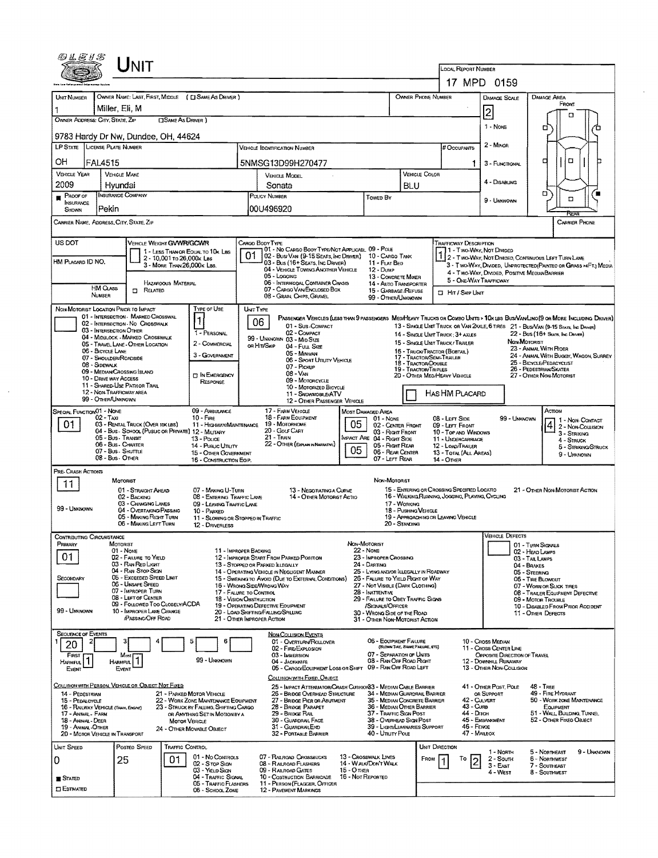| UNIT                                                                                                                                                          |                                                                                                                               |                                                                                                                                                                                                           |
|---------------------------------------------------------------------------------------------------------------------------------------------------------------|-------------------------------------------------------------------------------------------------------------------------------|-----------------------------------------------------------------------------------------------------------------------------------------------------------------------------------------------------------|
|                                                                                                                                                               |                                                                                                                               | <b>LOCAL REPORT NUMBER</b><br>17 MPD 0159                                                                                                                                                                 |
| OWNER NAME: LAST, FIRST, MIDDLE ( C SAME AS DRIVER )<br>Unit Number                                                                                           |                                                                                                                               | OWNER PHONE NUMBER<br><b>DAMAGE AREA</b><br>DAMAGE SCALE                                                                                                                                                  |
| Miller, Eli, M                                                                                                                                                |                                                                                                                               | FRONT<br> 2                                                                                                                                                                                               |
| OWNER ADDRESS: CITY, STATE, ZIP<br><b>CISAME AS DRIVER</b> )                                                                                                  |                                                                                                                               | п<br>1 - None<br>o                                                                                                                                                                                        |
| 9783 Hardy Dr Nw, Dundee, OH, 44624                                                                                                                           |                                                                                                                               | 2 - MINOR                                                                                                                                                                                                 |
| LP STATE LICENSE PLATE NUMBER                                                                                                                                 | VEHICLE IDENTIFICATION NUMBER                                                                                                 | # Occupants<br>α<br>□                                                                                                                                                                                     |
| OH<br><b>FAL4515</b><br><b>VEHICLE YEAR</b><br><b>VEHICLE MAKE</b>                                                                                            | 5NMSG13D99H270477<br><b>VERIOLE MODEL</b>                                                                                     | 1.<br>3 - FUNCTIONAL<br>VEHICLE COLOR                                                                                                                                                                     |
| 2009<br>Hvundai                                                                                                                                               | Sonata                                                                                                                        | 4 - DISABLING<br>BLU                                                                                                                                                                                      |
| <b>INSURANCE COMPANY</b><br>PROOF OF<br><b>INSURANCE</b><br>Pekin<br>SHOWN                                                                                    | POLICY NUMBER<br>Towed By<br>00U496920                                                                                        | о<br>□<br>9 - UNKNOWN                                                                                                                                                                                     |
| Carrier Name, Address, City, State, Zip                                                                                                                       |                                                                                                                               | RGA<br><b>CARRIER PHONE</b>                                                                                                                                                                               |
| US DOT<br>VEHICLE WEIGHT GVWR/GCWR                                                                                                                            | CARGO BODY TYPE                                                                                                               | TRAFFICWAY DESCRIPTION                                                                                                                                                                                    |
| 1 - LESS THAN OR EQUAL TO 10K LBS<br>2 - 10,001 to 26,000x Les                                                                                                | 01 - No CARGO BODY TYPE/NOT APPLICABL 09 - POLE<br>01<br>02 - Busi VAN (9-15 SEATS, INC DRIVER) 10 - CARGO TANK               | 11 - Two Way, Not Divided<br>2 - TWO-WAY, NOT DIVIDED, CONTINUOUS LEFT TURN LANE                                                                                                                          |
| HM PLACARD ID NO.<br>3 - MORE THAN 26,000K LBS.                                                                                                               | 03 - Bus (16+ Seats, Inc Driver)<br>11 - FLAT BED<br>04 - VEHICLE TOWING ANOTHER VEHICLE<br><b>12 - DUMP</b>                  | 3 - TWO-WAY, DIVIDED, UNPROTECTED (PAINTED OR GRASS >4FT.) MEDIA<br>4 - Two-Way, DIVIDED, POSITIVE MEDIANBARRIER                                                                                          |
| HAZARDOUS MATERIAL<br><b>HM CLASS</b><br><b>ELATED</b>                                                                                                        | 05 - Loccing<br>06 - INTERMODAL CONTAINER CHASIS<br>07 - CARGO VAN/ENCLOSED BOX                                               | 13 - CONCRETE MIXER<br>5 - ONE-WAY TRAFFICWAY<br>14 - AUTO TRANSPORTER<br>15 - GARBAGE /REFUSE                                                                                                            |
| NUMBER                                                                                                                                                        | 08 - GRAIN, CHIPS, GRAVEL                                                                                                     | <b>CI HIT / SKIP UNIT</b><br>99 - OTHER/UNKNOWN                                                                                                                                                           |
| TYPE OF USE<br>NON-MOTORIST LOCATION PRICK TO IMPACT<br>01 - INTERSECTION - MARKED CROSSWAL                                                                   | UNIT TYPE<br>06                                                                                                               | PASSENGER VEHICLES (LESS THAN 9 PASSENGERS MED/HEAVY TRUCKS OR COMBO UNITS > 10K LBS BUS/VAWLIMO(9 OR MORE INCLUDING DRIVER)                                                                              |
| 02 - INTERSECTION - NO CROSSWALK<br>03 - INTERSECTION OTHER<br>1 - PERSONAL<br>04 - MIDBLOCK - MARKED CROSSWALK                                               | 01 - Sub-COMPACT<br>02 - COMPACT<br>99 - UNKNOWN 03 - MID SIZE                                                                | 13 - SINGLE UNIT TRUCK OR VAN 2AXLE, 6 TIRES 21 - BUS/VAN (9-15 SEATS, INC DRIVER)<br>22 - Bus (16+ Seats, Inc. Driver)<br>14 - SINGLE UNIT TRUCK: 3+ AXLES                                               |
| 2 - COMMERCIAL<br>05 - TRAVEL LANE - OTHER LOCATION<br>06 - BICYCLE LANE                                                                                      | OR HIT/SKIP<br>04 - FutL Size<br>05 - MINIVAN                                                                                 | NON-MOTORIST<br>15 - SINGLE UNIT TRUCK/TRAILER<br>23 - Annwal With Rider<br>16 - TRUCK/TRACTOR (BOBTAIL)                                                                                                  |
| 3 - GOVERNMENT<br>07 - SHOULDER/ROADSIDE<br>08 - Sidewalk                                                                                                     | 06 - SPORT UTILITY VEHICLE<br>07 - PICKUP                                                                                     | 24 - ANIMAL WITH BUGGY, WAGON, SURREY<br>17 - TRACTOR/SEMI-TRAILER<br>25 - BICYCLE/PEDACYCLIST<br>18 TRACTOR/DOUBLE<br><b>19 - TRACTOR/TRIPLES</b><br>26 - PEDESTRIAN/SKATER                              |
| 09 - MEDIAN/CROSSING ISLAND<br><b>T IN EMERGENCY</b><br>10 - DRIVE WAY ACCESS<br><b>RESPONSE</b><br>11 - SHARED-USE PATH OR TRAIL                             | $08 - V_{AN}$<br>09 - MOTORCYCLE                                                                                              | 20 - OTHER MEDIHEAVY VEHICLE<br>27 - Other Non-Motorist                                                                                                                                                   |
| 12 - NON-TRAFFICWAY AREA<br>99 - OTHER/UNKNOWN                                                                                                                | 10 - Motorized Bicycle<br>11 - SNOVMOBILE/ATV<br>12 - OTHER PASSENGER VEHICLE                                                 | Has HM Placard                                                                                                                                                                                            |
| 09 - AMBULANCE<br>SPECIAL FUNCTION 01 - NONE<br>02 - Taxi<br>$10 - F$ <sub>RE</sub>                                                                           | 17 - FARM VEHICLE<br>MOST DAMAGED AREA<br>18 - FARM EOUPMENT<br>$01 - None$                                                   | Action<br>08 - LEFT SIDE<br>99 - Uniknown                                                                                                                                                                 |
| 01<br>03 - RENTAL TRUCK (OVER 10KLBS)<br>04 - Bus - SCHOOL (PUBLIC OR PRIVATE) 12 - MILITARY                                                                  | 05<br>19 - MOTORHOME<br>11 - HIGHWAY/MAINTENANCE<br>20 - Gour Cart                                                            | 1 - Non-Contact<br>4 2 - Non-Coursion<br>02 - CENTER FRONT<br>09 - LEFT FRONT<br>03 - Right Front<br>10 - Top and Windows<br>3 - STRIKING                                                                 |
| 05 - Bus - Transit<br>13 - Pouce<br>06 - Bus - Charter<br>14 - Pusuc UTLITY                                                                                   | $21 -$ TRAIN<br>IMPACT ARE 04 - RIGHT SIDE<br>22 - OTHER (EXPLAIN IN NARRATIVE)                                               | 11 - UNDERCARRIAGE<br>4 - STRUCK<br>05 - Right Rear<br>12 - LOAD/TRAILER<br>5 - STRIKING/STRUCK                                                                                                           |
| 07 - Bus - SHUTTLE<br>15 - OTHER GOVERNMENT<br>08 - Bus - OTHER<br>16 - CONSTRUCTION EQIP.                                                                    | 05                                                                                                                            | 06 - REAR CENTER<br>13 - TOTAL (ALL AREAS)<br>9 - UMXNOWN<br>07 - LEFT REAR<br>14 - Отнев                                                                                                                 |
| PRE-CRASH ACTIONS<br>MOTORIST                                                                                                                                 |                                                                                                                               | NON-MOTORIST                                                                                                                                                                                              |
| 11<br>01 - STRAIGHT AHEAD<br>07 - MAKING U-TURN<br>02 - BACKING                                                                                               | 13 - NEGOTIATING A CURVE<br>08 - ENTERING TRAFFIC LANE<br>14 - OTHER MOTORIST ACTIO                                           | 15 - ENTERING OR CROSSING SPECIFIED LOCATIO<br>21 - OTHER NON-MOTORIST ACTION<br>16 - WALKING RUNNING, JOGGING, PLAYING, CYCLING                                                                          |
| 03 - CHANGING LANES<br>99 - UMKNOWN<br>04 - OVERTAKING/PASSING<br>10 - PARKED                                                                                 | 09 - LEAVING TRAFFIC LANE                                                                                                     | 17 - WORKING<br>18 - Pushing Verrete                                                                                                                                                                      |
| 05 - MAKING RIGHT TURN<br>06 - MAKING LEFT TURN<br>12 - DRIVERLESS                                                                                            | 11 - SLOWING OR STOPPED IN TRAFFIC                                                                                            | 19 - APPROACHING OR LEAVING VEHICLE<br>20 - STANDING                                                                                                                                                      |
| CONTRIBUTING CIRCUMSTANCE<br>PRIMARY<br>MOTORIST                                                                                                              | NON-MOTORIST                                                                                                                  | Vehicle Defects<br>01 - TURN SIGNALS                                                                                                                                                                      |
| $01 - None$<br>01<br>02 - FAILURE TO YIELD                                                                                                                    | 22 - None<br>11 - IMPROPER BACKING<br>12 - IMPROPER START FROM PARKED POSITION<br>23 - IMPROPER CROSSING                      | 02 - HEAD LAMPS<br>03 - TAIL LAMPS                                                                                                                                                                        |
| 03 - Ray Rep Light<br>04 - RAN STOP SIGN                                                                                                                      | 24 - DARTING<br>13 - STOPPED OR PARKED ILLEGALLY<br>14 - OPERATING VEHICLE IN NEGLIGENT MANNER                                | 04 - BRAKES<br>25 - LYING AND/OR LLEGALLY IN ROADWAY<br>05 - STEERING                                                                                                                                     |
| 05 - Exceeded Speed Limit<br>SECONDARY<br>06 - UNSAFE SPEED<br>07 - IMPROPER TURN                                                                             | 15 - Swering to Avoid (Due to External Conditions)<br>16 - WRONG SIDE/WRONG WAY<br>17 - FALURE TO CONTROL<br>28 - INATTENTIVE | 26 - FALURE TO YIELD RIGHT OF WAY<br>06 - TIRE BLOWOUT<br>27 - NOT VISIBLE (DARK CLOTHING)<br>07 - WORN OR SLICK TIRES<br>08 - TRAILER EQUIPMENT DEFECTIVE                                                |
| 08 - LEFT OF CENTER<br>09 - FOLLOWED TOO CLOSELY/ACDA                                                                                                         | 18 - VISION OBSTRUCTION<br>19 - OPERATING DEFECTIVE EQUIPMENT                                                                 | 29 - FAILURE TO OBEY TRAFFIC SIGNS<br>09 - MOTOR TROUBLE<br>/SIGNALS/OFFICER<br>10 - DISABLED FROM PRIOR ACCIDENT                                                                                         |
| 99 - UNKNOWN<br>10 - IMPROPER LANE CHANGE<br>PASSING OFF ROAD                                                                                                 | 20 - LOAD SHIFTING/FALLING/SPILLING<br>21 - Other IMPROPER ACTION                                                             | 30 - WRONG SIDE OF THE ROAD<br>11 - Onier Defects<br>31 - OTHER NON-MOTORIST ACTION                                                                                                                       |
| <b>SEQUENCE OF EVENTS</b><br>5<br>2                                                                                                                           | NON COLLISION EVENTS<br>6<br>01 - Overturn/Rollover                                                                           | 06 - EOUIPMENT FAILURE<br>10 - Cross Median                                                                                                                                                               |
| 20<br>FIRST<br>Most)                                                                                                                                          | 02 - FIRE/EXPLOSION<br>03 - IMMERSION                                                                                         | (BLOWN TIME, BRAKE FAILURE, ETC)<br>11 - CROSS CENTER LINE<br>07 - SEPARATION OF UNITS<br>OPPOSITE DIRECTION OF TRAVEL                                                                                    |
| Most<br>HARMFUL <sup>1</sup><br>99 - UNNOWN<br>EVENT<br>Event                                                                                                 | 04 - Jackknee<br>05 - CARGO/EOUIPMENT LOSS OR SHIFT 09 - RAN OFF ROAD LEFT                                                    | 08 - RAN OFF ROAD RIGHT<br><b>12 - DOWNHILL RUNAWAY</b><br>13 - OTHER NON-COLLISION                                                                                                                       |
| COLLISION WITH PERSON, VEHICLE OR OBJECT NOT FIXED                                                                                                            | COLUSION WITH FIXED OBJECT<br>25 - IMPACT ATTENUATOR/CRASH CUSHION33 - MEDIAN CABLE BARRIER                                   | 41 - OTHER POST, POLE<br>$48 - TREF$                                                                                                                                                                      |
| 14 - PEDESTRIAN<br>21 - PARKED MOTOR VEHICLE<br>15 - PEDALCYCLE<br>22 - WORK ZONE MAINTENANCE EQUIPMENT                                                       | 26 - BRIDGE OVERHEAD STRUCTURE<br>27 - Bridge Pier or Asutment                                                                | 49 - FIRE HYDRANT<br>34 - MEDIAN GUARDRAIL BARRIER<br>OR SUPPORT<br>35 - MEDIAN CONCRETE BARRIER<br>42 - CULVERT<br>50 - WORK ZONE MAINTENANCE                                                            |
| 16 - RAILWAY VEHICLE (TRAIN, ENGINE)<br>23 - STRUCK BY FALLING, SHIFTING CARGO<br>17 - Antimal - Farm<br>OR ANYTHING SET IN MOTION BY A<br>18 - Animal - Deer | 28 - BRIDGE PARAPET<br>29 - BRIDGE RAIL<br>30 - GUARDRAIL FACE                                                                | 36 - MEDIAN OTHER BARRIER<br><b>43 - CURB</b><br>EQUIPMENT<br>37 - TRAFFIC SIGN POST<br>44 - Олон<br>51 - WALL BUILDING, TUNNEL<br>38 - OverHEAD SIGN POST<br>45 - Exennivment<br>52 - OTHER FIXED OBJECT |
| <b>MOTOR VEHICLE</b><br>19 - ANMAL -OTHER<br>24 - OTHER MOVABLE OBJECT<br>20 - MOTOR VEHICLE IN TRANSPORT                                                     | 31 - GUARDRAILEND<br>32 - PORTABLE BARRIER                                                                                    | 39 - LightiLuminaries Support<br>46 - FENCE<br>40 - UTILITY POLE<br>47 - MAILBOX                                                                                                                          |
| <b>TRAFFIC CONTROL</b><br>UNIT SPEED<br>POSTED SPEED                                                                                                          |                                                                                                                               | UNIT DIRECTION<br>5 - NORTHEAST<br>9 - UNKNOWN<br>1 - North                                                                                                                                               |
| 01 - No CONTROLS<br>25<br>01<br>10<br>02 - S TOP SIGN                                                                                                         | 07 - RAILROAD CROSSBUCKS<br>13 - Crosswalk Lines<br>14 WALK/DON'T WALK<br>08 - RAILROAD FLASHERS                              | FROM<br>То<br>2 - South<br>6 - Northwest<br>$\overline{c}$<br>7 - SOUTHEAST<br>$3 - E$ AST                                                                                                                |
| 03 - YIELD SIGN<br>04 - Traffic Signal<br><b>STATED</b><br>05 - TRAFFIC FLASHERS                                                                              | 15 - Отиев<br>09 - RALROAD GATES<br>10 - COSTRUCTION BARRICADE<br>16 - Not Reported<br>11 - PERSON (FLAGGER, OFFICER          | 4 - WEST<br>8 - SOUTHWEST                                                                                                                                                                                 |
| $\square$ Estimated<br>06 - SCHOOL ZONE                                                                                                                       | 12 - PAVEMENT MARKINGS                                                                                                        |                                                                                                                                                                                                           |

 $\ddot{\phantom{a}}$ 

 $\mathcal{L}_{\mathcal{A}}$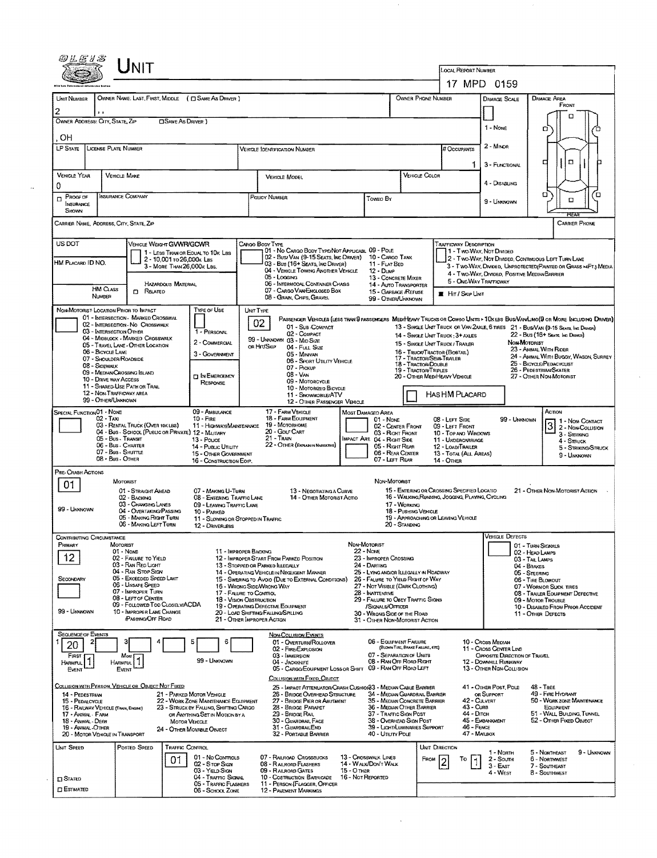| JNIT                                                                                                                                                                       |                                                                                                                                                                                                                                                                                                                                                                                          |                                                                                                                                                                                                                                                                                                                                                            |                                                                                                                                           |  |  |  |  |  |
|----------------------------------------------------------------------------------------------------------------------------------------------------------------------------|------------------------------------------------------------------------------------------------------------------------------------------------------------------------------------------------------------------------------------------------------------------------------------------------------------------------------------------------------------------------------------------|------------------------------------------------------------------------------------------------------------------------------------------------------------------------------------------------------------------------------------------------------------------------------------------------------------------------------------------------------------|-------------------------------------------------------------------------------------------------------------------------------------------|--|--|--|--|--|
|                                                                                                                                                                            |                                                                                                                                                                                                                                                                                                                                                                                          |                                                                                                                                                                                                                                                                                                                                                            | <b>LOCAL REPORT NUMBER</b><br>17 MPD 0159                                                                                                 |  |  |  |  |  |
| OWNER NAME: LAST, FIRST, MIDDLE ( C SAME AS DRIVER )<br><b>UNIT NUMBER</b>                                                                                                 |                                                                                                                                                                                                                                                                                                                                                                                          | OWNER PHONE NUMBER                                                                                                                                                                                                                                                                                                                                         | <b>DAMAGE AREA</b><br>DAMAGE SCALE                                                                                                        |  |  |  |  |  |
|                                                                                                                                                                            |                                                                                                                                                                                                                                                                                                                                                                                          |                                                                                                                                                                                                                                                                                                                                                            | FRONT<br>Ω                                                                                                                                |  |  |  |  |  |
| OWNER ADDRESS: CITY, STATE, ZIP<br><b>CISAME AS DRIVER</b> )                                                                                                               |                                                                                                                                                                                                                                                                                                                                                                                          |                                                                                                                                                                                                                                                                                                                                                            | $1 - None$<br>o                                                                                                                           |  |  |  |  |  |
| OН<br><b>LP STATE</b><br>LICENSE PLATE NUMBER                                                                                                                              | Vehicle Identification Number                                                                                                                                                                                                                                                                                                                                                            | # Occupants                                                                                                                                                                                                                                                                                                                                                | 2 - Mnoa                                                                                                                                  |  |  |  |  |  |
|                                                                                                                                                                            |                                                                                                                                                                                                                                                                                                                                                                                          |                                                                                                                                                                                                                                                                                                                                                            | $\Box$<br>₫<br>3 - FUNCTIONAL<br>1                                                                                                        |  |  |  |  |  |
| <b>VEHICLE YEAR</b><br><b>VEHICLE MAKE</b><br>0                                                                                                                            | VEHICLE MODEL                                                                                                                                                                                                                                                                                                                                                                            | VEHICLE COLOR                                                                                                                                                                                                                                                                                                                                              | 4 - DISABLING                                                                                                                             |  |  |  |  |  |
| INSURANCE COMPANY<br>PROOF OF<br>$\Box$                                                                                                                                    | <b>POLICY NUMBER</b>                                                                                                                                                                                                                                                                                                                                                                     | Toweo By                                                                                                                                                                                                                                                                                                                                                   | σ<br>ם<br>$\Box$<br>9 - UNKNOWN                                                                                                           |  |  |  |  |  |
| INSURANCE<br>SHOWN                                                                                                                                                         |                                                                                                                                                                                                                                                                                                                                                                                          |                                                                                                                                                                                                                                                                                                                                                            | REAR                                                                                                                                      |  |  |  |  |  |
| Carrier Name, Address, City, State, Zip                                                                                                                                    |                                                                                                                                                                                                                                                                                                                                                                                          |                                                                                                                                                                                                                                                                                                                                                            | <b>CARRIER PHONE</b>                                                                                                                      |  |  |  |  |  |
| US DOT<br>VEHICLE WEIGHT GVWR/GCWR<br>1 - LESS THAN OR EQUAL TO 10K LBS                                                                                                    | CARGO BODY TYPE<br>01 - No CARGO BODY TYPE/NOT APPLICABL 09 - POLE                                                                                                                                                                                                                                                                                                                       |                                                                                                                                                                                                                                                                                                                                                            | <b>TRAFFICWAY DESCRIPTION</b><br>1 - Two-Way, Not Divided                                                                                 |  |  |  |  |  |
| 2 - 10,001 to 26,000s Las<br>HM Placard ID NO.<br>3 - MORE THAN 26,000K LBS.                                                                                               | 02 - Bus/ Van (9-15 Seats, Inc Driver)<br>03 - Bus (16+ SEATS, INC DRIVER)<br>04 - VEHICLE TOWING ANOTHER VEHICLE                                                                                                                                                                                                                                                                        | 10 - CARGO TANK<br>11 - FLAT BED<br>$12 - D$ uur                                                                                                                                                                                                                                                                                                           | 2 - TWO-WAY, NOT DIVIDED, CONTINUOUS LEFT TURN LANE<br>3 - Two-WAY, DIMDED, UNPROTECTED (PAINTED OR GRASS > <ft.) media<="" td=""></ft.)> |  |  |  |  |  |
| HAZARDOUS MATERIAL                                                                                                                                                         | 05 - Logging<br>06 - INTERMODAL CONTAINER CHASIS                                                                                                                                                                                                                                                                                                                                         | 13 - CONCRETE MIXER<br><b>14 - AUTO TRANSPORTER</b>                                                                                                                                                                                                                                                                                                        | 4 - Two-Way, Divided, Positive Median Barrier<br>5 - ONE-WAY TRAFFICWAY                                                                   |  |  |  |  |  |
| HM CLASS<br>$\Box$ Related<br>NUMBER                                                                                                                                       | 07 - CARGO VAN/ENGLOSED BOX<br>08 - GRAIN, CHIPS, GRAVEL                                                                                                                                                                                                                                                                                                                                 | 15 - GARBAGE /REFUSE<br>99 - OTHER/UNKNOWN                                                                                                                                                                                                                                                                                                                 | <b>E</b> Hit / Skip Unit                                                                                                                  |  |  |  |  |  |
| <b>TYPE OF USE</b><br>NON-MOTORIST LOCATION PRIOR TO IMPACT<br>01 - INTERSECTION - MARKED CROSSWAL                                                                         | UNIT TYPE<br>02                                                                                                                                                                                                                                                                                                                                                                          |                                                                                                                                                                                                                                                                                                                                                            | PASSENGER VEHICLES (LESS THAN 9 PASSENGERS MEDIMEANY TRUCKS OR COMBO UNITS > 10X LBS BUS/VAN/LIMO(9 OR MORE INCLUDING DRIVER)             |  |  |  |  |  |
| 02 - INTERSECTION - NO CROSSWALK<br>03 - INTERSECTION OTHER<br>1 - PERSONAL                                                                                                | 13 - SINGLE UNIT TRUCK OR VAN ZAXLE, 6 TIRES 21 - BUS/VAN (9-15 SEATS, INC DRIVER)<br>22 - Bus (16+ Seats, Inc Driver)<br>14 - SINGLE UNIT TRUCK: 3+ AXLES                                                                                                                                                                                                                               |                                                                                                                                                                                                                                                                                                                                                            |                                                                                                                                           |  |  |  |  |  |
| 04 - MIDBLOCK - MARKED CROSSWALK<br>2 - COMMERCIAL<br>05 - TRAVEL LANE - OTHER LOCATION<br>06 - BICYCLE LANE<br>3 - GOVERNMENT                                             | 99 - UNKNOWN 03 - MID SIZE<br>OR HIT/SKIP<br>04 - Full Size                                                                                                                                                                                                                                                                                                                              | 15 - SINGLE UNIT TRUCK / TRAILER<br>16 - TRUCK/TRACTOR (BOSTAIL)                                                                                                                                                                                                                                                                                           | NON MOTORIST<br>23 - ANIMAL WITH RIDER<br>24 - ANIMAL WITH BUGGY, WAGON, SURREY                                                           |  |  |  |  |  |
| 07 - SHOULDER/ROADSIDE<br>08 - Sidewalk                                                                                                                                    | 06 - SPORT UTILITY VEHICLE<br>07 - Prckup                                                                                                                                                                                                                                                                                                                                                | 05 - MINIVAN<br><b>17 - TRACTOR/SEMI-TRAILER</b><br>25 - BICYCLE/PEDACYCLIST<br>18 - TRACTOR/DOUBLE<br>19 - TRACTOR/TRIPLES<br>26 - PEDESTRIAN/SKATER<br>$08 - VAN$<br>20 - OTHER MEDIHEAVY VEHICLE<br>27 - OTHER NON-MOTORIST<br>09 - MOTORCYCLE<br>10 - MOTORIZED BICYCLE<br><b>HASHM PLACARD</b><br>11 - SNOWMOBILE/ATV<br>12 - OTHER PASSENGER VEHICLE |                                                                                                                                           |  |  |  |  |  |
| 09 - MEDIAN/CROSSING ISLAND<br><b>DIN EMERGENCY</b><br>10 - DRIVE WAY ACCESS<br><b>RESPONSE</b><br>11 - SHARED-USE PATH OR TRAIL                                           |                                                                                                                                                                                                                                                                                                                                                                                          |                                                                                                                                                                                                                                                                                                                                                            |                                                                                                                                           |  |  |  |  |  |
| <b>12 - NON-TRAFFICWAY AREA</b><br>99 - OTHER/UNKNOWN                                                                                                                      |                                                                                                                                                                                                                                                                                                                                                                                          |                                                                                                                                                                                                                                                                                                                                                            |                                                                                                                                           |  |  |  |  |  |
| 09 - AMBULANCE<br>SPECIAL FUNCTION <sup>01</sup> - NONE<br>$02 - TAA$<br>$10 -$ Fine                                                                                       | 17 - FARM VEHICLE<br><b>18 - FARM EQUIPMENT</b>                                                                                                                                                                                                                                                                                                                                          | MOST DAMAGED AREA<br>08 - LEFT SIDE<br>$01 - None$                                                                                                                                                                                                                                                                                                         | Аспом<br>99 - UNKNOWN<br>1 - Non-Contact                                                                                                  |  |  |  |  |  |
|                                                                                                                                                                            | 03 - RENTAL TRUCK (OVER 10X LBS)<br>19 - Моторноме<br>11 - HIGHWAY/MAINTENANCE<br>02 - CENTER FRONT<br>09 - LEFT FRONT<br>2 - Non-Collision<br>20 - GOUF CART<br>04 - Bus - SCHOOL (PUBLIC OR PRIVATE) 12 - MILITARY<br>03 - Right Front<br>10 - Top and Windows<br>3 - Striking<br>$21 -$ Train<br>05 - Bus - Transit<br>IMPACT ARE 04 - RIGHT SIDE<br>13 - Pouce<br>11 - UNDERCARRIAGE |                                                                                                                                                                                                                                                                                                                                                            |                                                                                                                                           |  |  |  |  |  |
| 06 - Bus - Charter<br>14 - Pusuc UTIUTY<br>07 - Bus - SHUTTLE                                                                                                              | 22 - OTHER (EXPLAIN IN NARRATIVE)<br>15 - OTHER GOVERNMENT                                                                                                                                                                                                                                                                                                                               | 05 - Right Rear<br>12 - LOAD/TRAILER<br>06 - REAR CENTER                                                                                                                                                                                                                                                                                                   | 4 - STRUCK<br>5 - STRIKING/STRUCK<br>13 - TOTAL (ALL AREAS)<br>9 - UNKNOWN                                                                |  |  |  |  |  |
| 08 - Bus - OTHER<br>Pre-Crash Actions                                                                                                                                      | 16 - CONSTRUCTION EOIP.                                                                                                                                                                                                                                                                                                                                                                  | 07 - LEFT REAR<br>14 - OTHER                                                                                                                                                                                                                                                                                                                               |                                                                                                                                           |  |  |  |  |  |
| MOTORIST<br>01<br>01 - STRAIGHT AHEAD                                                                                                                                      | 07 - MAKING U-TURN<br>13 - NEGOTIATING A CURVE                                                                                                                                                                                                                                                                                                                                           | NON-MOTORIST<br>15 - ENTERING OR CROSSING SPECIFIED LOCATIO                                                                                                                                                                                                                                                                                                | 21 - OTHER NON-MOTORIST ACTION                                                                                                            |  |  |  |  |  |
| 02 - BACKING<br>03 - CHANGING LANES<br>99 - UNKNOWN                                                                                                                        | 08 - ENTERING TRAFFIC LANE<br>14 - OTHER MOTORIST ACTIO<br>09 - LEAVING TRAFFIC LANE                                                                                                                                                                                                                                                                                                     | 16 - WALKING, RUNNING, JOGGING, PLAYING, CYCLING<br>17 - WORKING                                                                                                                                                                                                                                                                                           |                                                                                                                                           |  |  |  |  |  |
| 04 - Overtaking/Passing<br>10 - PARKED<br>05 - MAKING RIGHT TURN<br>06 - MAKING LEFT TURN<br>12 - DRIVERLESS                                                               | 11 - SLOWING OR STOPPED IN TRAFFIC                                                                                                                                                                                                                                                                                                                                                       | 18 - Pushing Vehicle<br>19 - APPROACHING OR LEAVING VEHICLE<br>20 - Standing                                                                                                                                                                                                                                                                               |                                                                                                                                           |  |  |  |  |  |
| <b>CONTRIBUTING CIRCUMSTANCE</b>                                                                                                                                           |                                                                                                                                                                                                                                                                                                                                                                                          | NON-MOTORIST                                                                                                                                                                                                                                                                                                                                               | Vehicle Defects                                                                                                                           |  |  |  |  |  |
| PRIMARY<br>MOTORIST<br>01 None<br>12<br>02 - FALURE TO YIELD                                                                                                               | 11 - IMPROPER BACKING<br>12 - IMPROPER START FROM PARKED POSITION                                                                                                                                                                                                                                                                                                                        | 22 - Nove<br>23 - IMPROPER CROSSING                                                                                                                                                                                                                                                                                                                        | 01 - TURN SIGNALS<br>02 - HEAD LAMPS<br>03 - TAIL LAMPS                                                                                   |  |  |  |  |  |
| 03 - RAN RED LIGHT<br>04 - RAN STOP SIGN<br>05 - Exceeded Speed Limit                                                                                                      | 13 - STOPPED OR PARKED LLEGALLY<br>14 - OPERATING VEHICLE IN NEGLIGENT MANNER                                                                                                                                                                                                                                                                                                            | 24 - DARTING<br>25 - LYING AND/OR ILLEGALLY IN ROADWAY                                                                                                                                                                                                                                                                                                     | 04 - BRAKES<br>05 - STEERING                                                                                                              |  |  |  |  |  |
| SECONDARY<br>06 - UNSAFE SPEED<br>07 - IMPROPER TURN                                                                                                                       | 15 - SWERING TO AVOID (DUE TO EXTERNAL CONDITIONS)<br>16 - WRONG SIDE/WRONG WAY<br>17 - FALURE TO CONTROL                                                                                                                                                                                                                                                                                | 26 - FALURE TO YIELD RIGHT OF WAY<br>27 - Not Visible (Dark Clothing)<br>28 - Inattentive                                                                                                                                                                                                                                                                  | 06 - TIRE BLOWOUT<br>07 - WORN OR SUCK TIRES<br>08 - TRAILER EQUIPMENT DEFECTIVE                                                          |  |  |  |  |  |
| 08 - LEFT OF CENTER<br><b>18 - VISION OBSTRUCTION</b><br>09 - Foulowed Too CLOSELY/ACDA<br>19 - OPERATING DEFECTIVE EQUIPMENT<br>99 - UNKNOWN<br>10 - IMPROPER LANE CHANGE | 29 - FAILURE TO OBEY TRAFFIC SIGNS<br><b>SIGNALS/OFFICER</b>                                                                                                                                                                                                                                                                                                                             | 09 - MOTOR TROUBLE<br>10 - DISABLED FROM PRIOR ACCIDENT                                                                                                                                                                                                                                                                                                    |                                                                                                                                           |  |  |  |  |  |
| <b>PASSING OFF ROAD</b>                                                                                                                                                    | 20 - LOAD SHIFTING/FALLING/SPILLING<br>21 - Other Improper Action                                                                                                                                                                                                                                                                                                                        | 30 - Wrong Side of the Road<br>31 - OTHER NON-MOTORIST ACTION                                                                                                                                                                                                                                                                                              | 11 - OTHER DEFECTS                                                                                                                        |  |  |  |  |  |
| <b>SEQUENCE OF EVENTS</b><br>з<br>20                                                                                                                                       | NON-COLLISION EVENTS<br>01 - Overturn/Rollover<br>€                                                                                                                                                                                                                                                                                                                                      | 06 - EQUIPMENT FAILURE                                                                                                                                                                                                                                                                                                                                     | 10 - Cross Median                                                                                                                         |  |  |  |  |  |
| FIRST<br>Most<br>99 - UNKNOWN<br>11.<br><b>HARMFUL</b><br><b>HARMFUL</b>                                                                                                   | 02 - FIRE/EXPLOSION<br>03 - IMMERSION<br>04 - JACKKNIFE                                                                                                                                                                                                                                                                                                                                  | (BLOWN THIS BRAKE FAILURE, ETC)<br>07 - SEPARATION OF UNITS<br>08 - RAN OFF ROAD RIGHT                                                                                                                                                                                                                                                                     | 11 - CROSS CENTER LINE<br>OPPOSITE DIRECTION OF TRAVEL<br>12 - DOWMHILL RUNAWAY                                                           |  |  |  |  |  |
| Event<br>EVENT                                                                                                                                                             | 05 - CARGO/EOUIPMENT LOSS OR SHIFT 09 - RAN OFF ROAD LEFT<br>COLLISION WITH FIXED, OBJECT                                                                                                                                                                                                                                                                                                |                                                                                                                                                                                                                                                                                                                                                            | 13 - OTHER NON-COLLISION                                                                                                                  |  |  |  |  |  |
| COLLISION WITH PERSON, VEHICLE OR OBJECT NOT FIXED<br>14 - PEDESTRIAN<br>21 - PARKED MOTOR VEHICLE                                                                         | 25 - IMPACT ATTENUATORICRASH CUSHION33 - MEDIAN CABLE BARRIER<br>26 - BRIDGE OVERHEAD STRUCTURE                                                                                                                                                                                                                                                                                          | 34 - MEDIAN GUARDRAIL BARRIER                                                                                                                                                                                                                                                                                                                              | 41 - OTHER POST, POLE<br>48 - TREE<br>49 - FIRE HYDRANT<br>OR SUPPORT                                                                     |  |  |  |  |  |
| 15 - PEDALCYCLE<br>22 - WORK ZONE MAINTENANCE EQUIPMENT<br>16 - RAILWAY VEHICLE (TRAIN, ENGINE)<br>23 - STRUCK BY FALLING, SHIFTING CARGO                                  | 27 - BRIDGE PIER OR ABUTMENT<br>28 - BRIDGE PARAPET                                                                                                                                                                                                                                                                                                                                      | 35 - MEDIAN CONCRETE BARRIER<br>36 - MEDIAN OTHER BARRIER                                                                                                                                                                                                                                                                                                  | 42 - CULVERT<br>50 - WORK ZONE MAINTENANCE<br>43 - CURB<br>EQUIPMENT<br>51 - WALL, BUILDING, TUNNEL<br>44 - Олсн                          |  |  |  |  |  |
| 17 - ANIMAL - FARM<br>OR ANYTHING SET IN MOTION BY A<br>18 - ANIMAL - DEER<br>MOTOR VEHICLE<br>19 - ANIMAL-OTHER<br>24 - OTHER MOVABLE OBJECT                              | 29 - Bridge Rail<br>30 - GUARDRAIL FACE<br>31 - GUARDRALEND                                                                                                                                                                                                                                                                                                                              | 37 - TRAFFIC SIGN POST<br>38 - Overhead Sign Post<br>39 - LIGHTALUMINARIES SUPPORT                                                                                                                                                                                                                                                                         | 45 - Емванкиент<br>52 - OTHER FIXED OBJECT<br>46 - FENCE                                                                                  |  |  |  |  |  |
| 20 - MOTOR VEHICLE IN TRANSPORT<br>UNIT SPEED<br>POSTED SPEED<br>TRAFFIC CONTROL                                                                                           | 32 - PORTABLE BARRIER                                                                                                                                                                                                                                                                                                                                                                    | 40 - UTILITY POLE<br>UNIT DIRECTION                                                                                                                                                                                                                                                                                                                        | 47 - MAILBOX                                                                                                                              |  |  |  |  |  |
| 01 - No Controls<br>01<br>02 - Stop Sign                                                                                                                                   | 07 - RAILROAD CROSSBUCKS<br>08 - RALROAD FLASHERS                                                                                                                                                                                                                                                                                                                                        | 13 - CROSSWALK LINES<br>FROM<br><b>14 - WALK/DON'T WALK</b>                                                                                                                                                                                                                                                                                                | 5 - NORTHEAST<br>9 - UNKNOWN<br>1 - North<br>6 - NORTHWEST<br>To<br>2 - South                                                             |  |  |  |  |  |
| 03 - YIELD SIGN<br><b>CI STATED</b>                                                                                                                                        | 09 - RAILROAD GATES<br>10 - COSTRUCTION BARRICADE<br>04 - TRAFFIC SIGNAL                                                                                                                                                                                                                                                                                                                 | 15 - О тная<br>16 - Not Reported                                                                                                                                                                                                                                                                                                                           | $3 - EAST$<br>7 - SOUTHEAST<br>4 - West<br>8 - Southwest                                                                                  |  |  |  |  |  |
| <b>CI ESTIMATED</b><br>06 - SCHOOL ZONE                                                                                                                                    | 11 - PERSON (FLAGGER, OFFICER<br>05 - Traffic Flashers<br>12 - PAVEMENT MARKINGS                                                                                                                                                                                                                                                                                                         |                                                                                                                                                                                                                                                                                                                                                            |                                                                                                                                           |  |  |  |  |  |

 $\sim 10^7$ 

 $\mathcal{L}$ 

 $\bar{\mathcal{A}}$